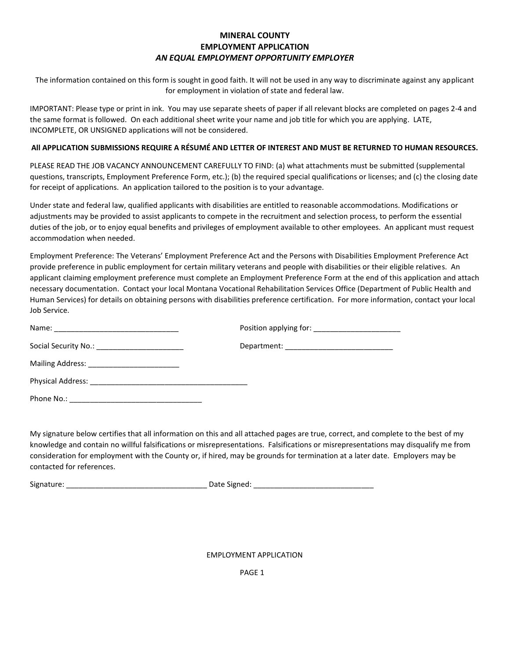## **MINERAL COUNTY EMPLOYMENT APPLICATION** *AN EQUAL EMPLOYMENT OPPORTUNITY EMPLOYER*

The information contained on this form is sought in good faith. It will not be used in any way to discriminate against any applicant for employment in violation of state and federal law.

IMPORTANT: Please type or print in ink. You may use separate sheets of paper if all relevant blocks are completed on pages 2-4 and the same format is followed. On each additional sheet write your name and job title for which you are applying. LATE, INCOMPLETE, OR UNSIGNED applications will not be considered.

### **All APPLICATION SUBMISSIONS REQUIRE A RÉSUMÉ AND LETTER OF INTEREST AND MUST BE RETURNED TO HUMAN RESOURCES.**

PLEASE READ THE JOB VACANCY ANNOUNCEMENT CAREFULLY TO FIND: (a) what attachments must be submitted (supplemental questions, transcripts, Employment Preference Form, etc.); (b) the required special qualifications or licenses; and (c) the closing date for receipt of applications. An application tailored to the position is to your advantage.

Under state and federal law, qualified applicants with disabilities are entitled to reasonable accommodations. Modifications or adjustments may be provided to assist applicants to compete in the recruitment and selection process, to perform the essential duties of the job, or to enjoy equal benefits and privileges of employment available to other employees. An applicant must request accommodation when needed.

Employment Preference: The Veterans' Employment Preference Act and the Persons with Disabilities Employment Preference Act provide preference in public employment for certain military veterans and people with disabilities or their eligible relatives. An applicant claiming employment preference must complete an Employment Preference Form at the end of this application and attach necessary documentation. Contact your local Montana Vocational Rehabilitation Services Office (Department of Public Health and Human Services) for details on obtaining persons with disabilities preference certification. For more information, contact your local Job Service.

| Name:                                          |  |
|------------------------------------------------|--|
| Social Security No.: _________________________ |  |
|                                                |  |
|                                                |  |
|                                                |  |

My signature below certifies that all information on this and all attached pages are true, correct, and complete to the best of my knowledge and contain no willful falsifications or misrepresentations. Falsifications or misrepresentations may disqualify me from consideration for employment with the County or, if hired, may be grounds for termination at a later date. Employers may be contacted for references.

Signature: \_\_\_\_\_\_\_\_\_\_\_\_\_\_\_\_\_\_\_\_\_\_\_\_\_\_\_\_\_\_\_\_\_\_ Date Signed: \_\_\_\_\_\_\_\_\_\_\_\_\_\_\_\_\_\_\_\_\_\_\_\_\_\_\_\_\_

EMPLOYMENT APPLICATION

PAGE 1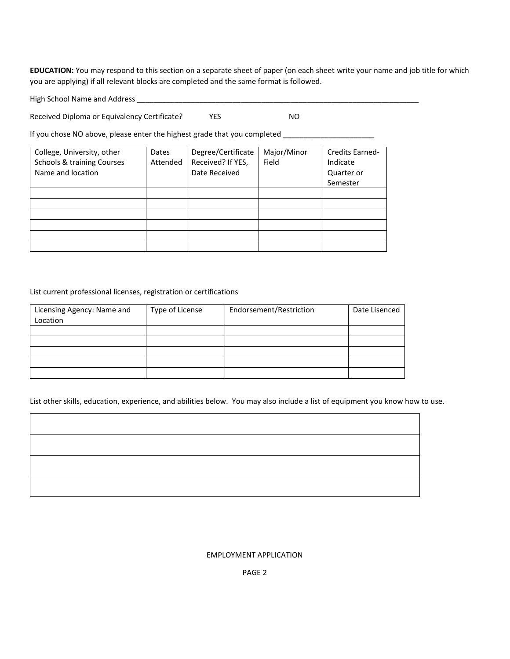**EDUCATION:** You may respond to this section on a separate sheet of paper (on each sheet write your name and job title for which you are applying) if all relevant blocks are completed and the same format is followed.

High School Name and Address \_\_\_\_\_\_\_\_\_\_\_\_\_\_\_\_\_\_\_\_\_\_\_\_\_\_\_\_\_\_\_\_\_\_\_\_\_\_\_\_\_\_\_\_\_\_\_\_\_\_\_\_\_\_\_\_\_\_\_\_\_\_\_\_\_\_\_\_

Received Diploma or Equivalency Certificate? YES YES NO

If you chose NO above, please enter the highest grade that you completed \_\_\_\_\_\_\_\_\_\_\_\_\_\_\_\_\_\_\_\_\_\_

| College, University, other<br>Schools & training Courses<br>Name and location | Dates<br>Attended | Degree/Certificate<br>Received? If YES,<br>Date Received | Major/Minor<br>Field | <b>Credits Earned-</b><br>Indicate<br>Quarter or<br>Semester |
|-------------------------------------------------------------------------------|-------------------|----------------------------------------------------------|----------------------|--------------------------------------------------------------|
|                                                                               |                   |                                                          |                      |                                                              |
|                                                                               |                   |                                                          |                      |                                                              |
|                                                                               |                   |                                                          |                      |                                                              |
|                                                                               |                   |                                                          |                      |                                                              |
|                                                                               |                   |                                                          |                      |                                                              |
|                                                                               |                   |                                                          |                      |                                                              |

List current professional licenses, registration or certifications

| Licensing Agency: Name and<br>Location | Type of License | Endorsement/Restriction | Date Lisenced |
|----------------------------------------|-----------------|-------------------------|---------------|
|                                        |                 |                         |               |
|                                        |                 |                         |               |
|                                        |                 |                         |               |
|                                        |                 |                         |               |
|                                        |                 |                         |               |

List other skills, education, experience, and abilities below. You may also include a list of equipment you know how to use.

### EMPLOYMENT APPLICATION

PAGE 2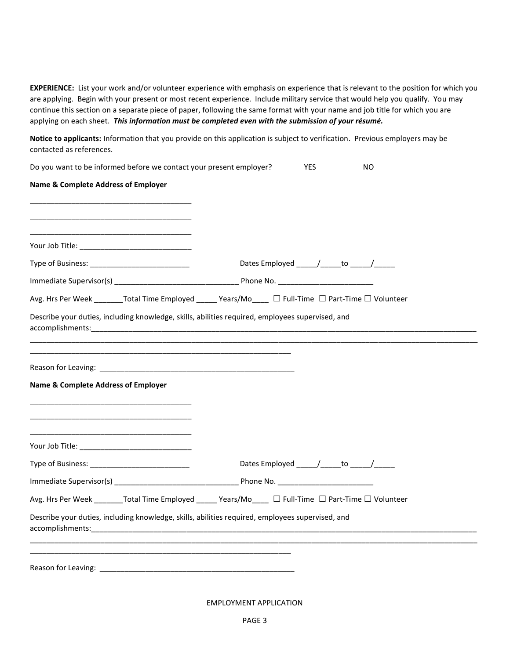**EXPERIENCE:** List your work and/or volunteer experience with emphasis on experience that is relevant to the position for which you are applying. Begin with your present or most recent experience. Include military service that would help you qualify. You may continue this section on a separate piece of paper, following the same format with your name and job title for which you are applying on each sheet. *This information must be completed even with the submission of your résumé.*

**Notice to applicants:** Information that you provide on this application is subject to verification. Previous employers may be contacted as references.

| Do you want to be informed before we contact your present employer?                                                                   | YES<br>NO                                                                                             |
|---------------------------------------------------------------------------------------------------------------------------------------|-------------------------------------------------------------------------------------------------------|
| Name & Complete Address of Employer                                                                                                   |                                                                                                       |
|                                                                                                                                       |                                                                                                       |
|                                                                                                                                       |                                                                                                       |
|                                                                                                                                       | Dates Employed _____/______to _____/______                                                            |
|                                                                                                                                       |                                                                                                       |
|                                                                                                                                       | Avg. Hrs Per Week ________Total Time Employed ______ Years/Mo____ □ Full-Time □ Part-Time □ Volunteer |
| Describe your duties, including knowledge, skills, abilities required, employees supervised, and<br>accomplishments: accomplishments: |                                                                                                       |
|                                                                                                                                       |                                                                                                       |
| <b>Name &amp; Complete Address of Employer</b>                                                                                        |                                                                                                       |
|                                                                                                                                       |                                                                                                       |
|                                                                                                                                       |                                                                                                       |
|                                                                                                                                       | Dates Employed _____/______to _____/_____                                                             |
|                                                                                                                                       |                                                                                                       |
|                                                                                                                                       | Avg. Hrs Per Week ________Total Time Employed ______ Years/Mo____ □ Full-Time □ Part-Time □ Volunteer |
| Describe your duties, including knowledge, skills, abilities required, employees supervised, and                                      |                                                                                                       |
|                                                                                                                                       |                                                                                                       |
|                                                                                                                                       |                                                                                                       |

EMPLOYMENT APPLICATION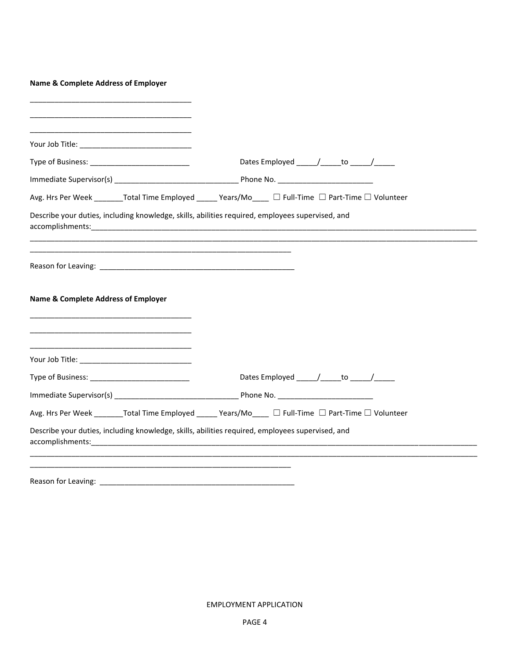| <b>Name &amp; Complete Address of Employer</b>                                                                                                                                                                                                                                                                                     |                                                                                                      |
|------------------------------------------------------------------------------------------------------------------------------------------------------------------------------------------------------------------------------------------------------------------------------------------------------------------------------------|------------------------------------------------------------------------------------------------------|
|                                                                                                                                                                                                                                                                                                                                    |                                                                                                      |
|                                                                                                                                                                                                                                                                                                                                    |                                                                                                      |
|                                                                                                                                                                                                                                                                                                                                    | Dates Employed _____/_____to _____/_____                                                             |
|                                                                                                                                                                                                                                                                                                                                    |                                                                                                      |
|                                                                                                                                                                                                                                                                                                                                    | Avg. Hrs Per Week ________Total Time Employed _____ Years/Mo____ □ Full-Time □ Part-Time □ Volunteer |
| Describe your duties, including knowledge, skills, abilities required, employees supervised, and                                                                                                                                                                                                                                   |                                                                                                      |
|                                                                                                                                                                                                                                                                                                                                    |                                                                                                      |
|                                                                                                                                                                                                                                                                                                                                    |                                                                                                      |
|                                                                                                                                                                                                                                                                                                                                    |                                                                                                      |
| <b>Name &amp; Complete Address of Employer</b>                                                                                                                                                                                                                                                                                     |                                                                                                      |
|                                                                                                                                                                                                                                                                                                                                    |                                                                                                      |
| <u> 1980 - Johann John Stone, markin amerikan basar dan berkembang di banyak di banyak di banyak di banyak di ban</u>                                                                                                                                                                                                              |                                                                                                      |
|                                                                                                                                                                                                                                                                                                                                    |                                                                                                      |
|                                                                                                                                                                                                                                                                                                                                    |                                                                                                      |
|                                                                                                                                                                                                                                                                                                                                    |                                                                                                      |
|                                                                                                                                                                                                                                                                                                                                    |                                                                                                      |
|                                                                                                                                                                                                                                                                                                                                    | Avg. Hrs Per Week ________Total Time Employed _____ Years/Mo____ □ Full-Time □ Part-Time □ Volunteer |
| Describe your duties, including knowledge, skills, abilities required, employees supervised, and<br>accomplishments: accomplishments: accomplishments: accomplishments: accomplishments: accomplishments: accomplishments: accomplishments: accomplishments: accomplishments: accomplishments: accomplishments: accomplishments: a |                                                                                                      |
|                                                                                                                                                                                                                                                                                                                                    |                                                                                                      |
| Reason for Leaving:                                                                                                                                                                                                                                                                                                                |                                                                                                      |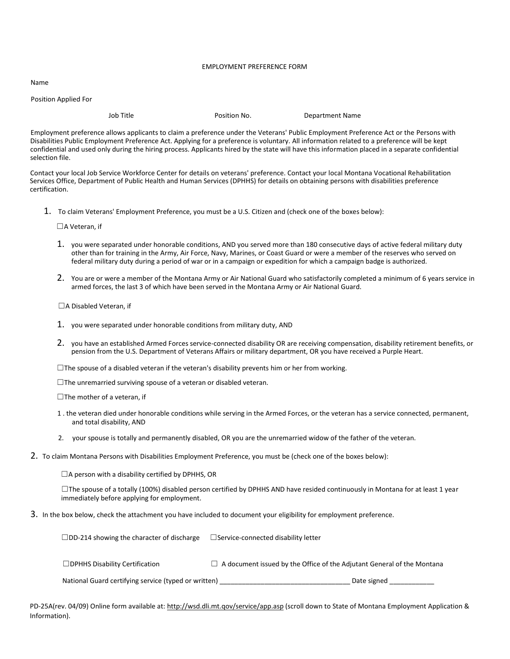#### EMPLOYMENT PREFERENCE FORM

Name

Position Applied For

Job Title **No.** Position No. 2008 Department Name

Employment preference allows applicants to claim a preference under the Veterans' Public Employment Preference Act or the Persons with Disabilities Public Employment Preference Act. Applying for a preference is voluntary. All information related to a preference will be kept confidential and used only during the hiring process. Applicants hired by the state will have this information placed in a separate confidential selection file.

Contact your local Job Service Workforce Center for details on veterans' preference. Contact your local Montana Vocational Rehabilitation Services Office, Department of Public Health and Human Services (DPHHS) for details on obtaining persons with disabilities preference certification.

1. To claim Veterans' Employment Preference, you must be a U.S. Citizen and (check one of the boxes below):

☐A Veteran, if

- 1. you were separated under honorable conditions, AND you served more than 180 consecutive days of active federal military duty other than for training in the Army, Air Force, Navy, Marines, or Coast Guard or were a member of the reserves who served on federal military duty during a period of war or in a campaign or expedition for which a campaign badge is authorized.
- 2. You are or were a member of the Montana Army or Air National Guard who satisfactorily completed a minimum of 6 years service in armed forces, the last 3 of which have been served in the Montana Army or Air National Guard.

☐A Disabled Veteran, if

- 1. you were separated under honorable conditions from military duty, AND
- 2. you have an established Armed Forces service-connected disability OR are receiving compensation, disability retirement benefits, or pension from the U.S. Department of Veterans Affairs or military department, OR you have received a Purple Heart.
- $\Box$ The spouse of a disabled veteran if the veteran's disability prevents him or her from working.
- $\Box$ The unremarried surviving spouse of a veteran or disabled veteran.

□The mother of a veteran, if

- 1 . the veteran died under honorable conditions while serving in the Armed Forces, or the veteran has a service connected, permanent, and total disability, AND
- 2. your spouse is totally and permanently disabled, OR you are the unremarried widow of the father of the veteran.
- 2. To claim Montana Persons with Disabilities Employment Preference, you must be (check one of the boxes below):

 $\Box$ A person with a disability certified by DPHHS, OR

☐The spouse of a totally (100%) disabled person certified by DPHHS AND have resided continuously in Montana for at least 1 year immediately before applying for employment.

3. In the box below, check the attachment you have included to document your eligibility for employment preference.

| $\Box$ DD-214 showing the character of discharge     | $\Box$ Service-connected disability letter                                    |
|------------------------------------------------------|-------------------------------------------------------------------------------|
| $\Box$ DPHHS Disability Certification                | $\Box$ A document issued by the Office of the Adjutant General of the Montana |
| National Guard certifying service (typed or written) | Date signed                                                                   |

PD-25A(rev. 04/09) Online form available at: http://wsd.dli.mt.qov/service/app.asp (scroll down to State of Montana Employment Application & Information).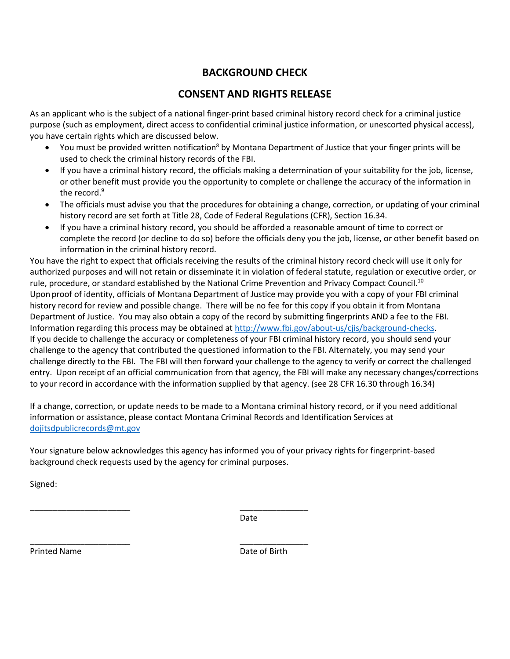# **BACKGROUND CHECK**

# **CONSENT AND RIGHTS RELEASE**

As an applicant who is the subject of a national finger-print based criminal history record check for a criminal justice purpose (such as employment, direct access to confidential criminal justice information, or unescorted physical access), you have certain rights which are discussed below.

- You must be provided written notification<sup>8</sup> by Montana Department of Justice that your finger prints will be used to check the criminal history records of the FBI.
- If you have a criminal history record, the officials making a determination of your suitability for the job, license, or other benefit must provide you the opportunity to complete or challenge the accuracy of the information in the record.<sup>9</sup>
- The officials must advise you that the procedures for obtaining a change, correction, or updating of your criminal history record are set forth at Title 28, Code of Federal Regulations (CFR), Section 16.34.
- If you have a criminal history record, you should be afforded a reasonable amount of time to correct or complete the record (or decline to do so) before the officials deny you the job, license, or other benefit based on information in the criminal history record.

You have the right to expect that officials receiving the results of the criminal history record check will use it only for authorized purposes and will not retain or disseminate it in violation of federal statute, regulation or executive order, or rule, procedure, or standard established by the National Crime Prevention and Privacy Compact Council.<sup>10</sup> Upon proof of identity, officials of Montana Department of Justice may provide you with a copy of your FBI criminal history record for review and possible change. There will be no fee for this copy if you obtain it from Montana Department of Justice. You may also obtain a copy of the record by submitting fingerprints AND a fee to the FBI. Information regarding this process may be obtained at [http://www.fbi.gov/about-us/cjis/background-checks.](http://www.fbi.gov/about-us/cjis/background-checks) If you decide to challenge the accuracy or completeness of your FBI criminal history record, you should send your challenge to the agency that contributed the questioned information to the FBI. Alternately, you may send your challenge directly to the FBI. The FBI will then forward your challenge to the agency to verify or correct the challenged entry. Upon receipt of an official communication from that agency, the FBI will make any necessary changes/corrections to your record in accordance with the information supplied by that agency. (see 28 CFR 16.30 through 16.34)

If a change, correction, or update needs to be made to a Montana criminal history record, or if you need additional information or assistance, please contact Montana Criminal Records and Identification Services at [dojitsdpublicrecords@mt.gov](mailto:dojitsdpublicrecords@mt.gov)

Your signature below acknowledges this agency has informed you of your privacy rights for fingerprint-based background check requests used by the agency for criminal purposes.

Signed:

\_\_\_\_\_\_\_\_\_\_\_\_\_\_\_\_\_\_\_\_\_\_ \_\_\_\_\_\_\_\_\_\_\_\_\_\_\_ Date

\_\_\_\_\_\_\_\_\_\_\_\_\_\_\_\_\_\_\_\_\_\_ \_\_\_\_\_\_\_\_\_\_\_\_\_\_\_ Printed Name **Date of Birth**